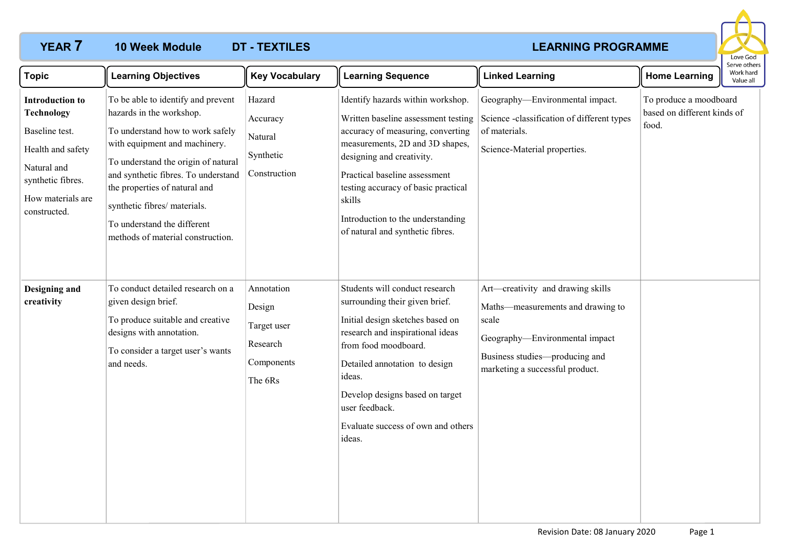## **10 Week Module**

# **YEAR 7 LEARNING PROGRAMME**



| <b>Topic</b>                                                                                                                                                | <b>Learning Objectives</b>                                                                                                                                                                                                                                                                                                                             | <b>Key Vocabulary</b>                                                    | <b>Learning Sequence</b>                                                                                                                                                                                                                                                                                                                 | <b>Linked Learning</b>                                                                                                                                                                 | <b>Home Learning</b>                                           | Work hard<br>Value all |
|-------------------------------------------------------------------------------------------------------------------------------------------------------------|--------------------------------------------------------------------------------------------------------------------------------------------------------------------------------------------------------------------------------------------------------------------------------------------------------------------------------------------------------|--------------------------------------------------------------------------|------------------------------------------------------------------------------------------------------------------------------------------------------------------------------------------------------------------------------------------------------------------------------------------------------------------------------------------|----------------------------------------------------------------------------------------------------------------------------------------------------------------------------------------|----------------------------------------------------------------|------------------------|
| <b>Introduction to</b><br><b>Technology</b><br>Baseline test.<br>Health and safety<br>Natural and<br>synthetic fibres.<br>How materials are<br>constructed. | To be able to identify and prevent<br>hazards in the workshop.<br>To understand how to work safely<br>with equipment and machinery.<br>To understand the origin of natural<br>and synthetic fibres. To understand<br>the properties of natural and<br>synthetic fibres/ materials.<br>To understand the different<br>methods of material construction. | Hazard<br>Accuracy<br>Natural<br>Synthetic<br>Construction               | Identify hazards within workshop.<br>Written baseline assessment testing<br>accuracy of measuring, converting<br>measurements, 2D and 3D shapes,<br>designing and creativity.<br>Practical baseline assessment<br>testing accuracy of basic practical<br>skills<br>Introduction to the understanding<br>of natural and synthetic fibres. | Geography-Environmental impact.<br>Science -classification of different types<br>of materials.<br>Science-Material properties.                                                         | To produce a moodboard<br>based on different kinds of<br>food. |                        |
| Designing and<br>creativity                                                                                                                                 | To conduct detailed research on a<br>given design brief.<br>To produce suitable and creative<br>designs with annotation.<br>To consider a target user's wants<br>and needs.                                                                                                                                                                            | Annotation<br>Design<br>Target user<br>Research<br>Components<br>The 6Rs | Students will conduct research<br>surrounding their given brief.<br>Initial design sketches based on<br>research and inspirational ideas<br>from food moodboard.<br>Detailed annotation to design<br>ideas.<br>Develop designs based on target<br>user feedback.<br>Evaluate success of own and others<br>ideas.                         | Art—creativity and drawing skills<br>Maths-measurements and drawing to<br>scale<br>Geography-Environmental impact<br>Business studies-producing and<br>marketing a successful product. |                                                                |                        |